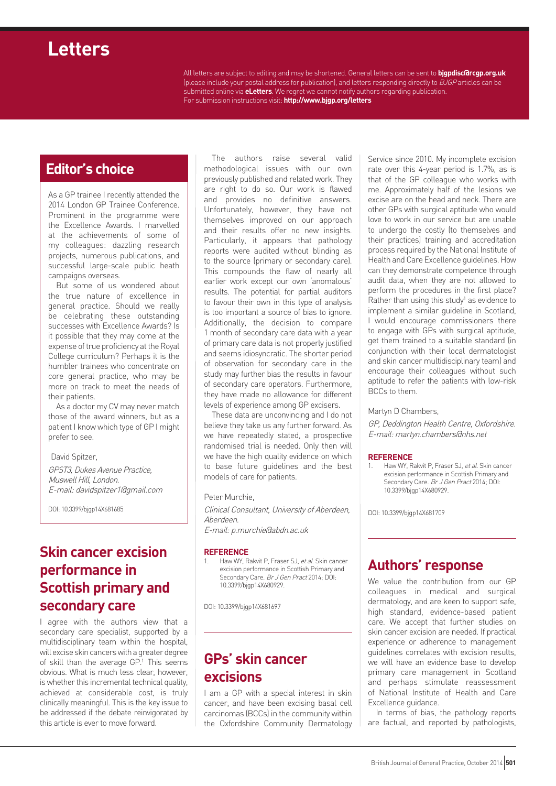# **Letters**

All letters are subject to editing and may be shortened. General letters can be sent to **bjgpdisc@rcgp.org.uk**  (please include your postal address for publication), and letters responding directly to BJGP articles can be submitted online via **eLetters**. We regret we cannot notify authors regarding publication. For submission instructions visit: **http://www.bjgp.org/letters**

### **Editor's choice**

As a GP trainee I recently attended the 2014 London GP Trainee Conference. Prominent in the programme were the Excellence Awards. I marvelled at the achievements of some of my colleagues: dazzling research projects, numerous publications, and successful large-scale public heath campaigns overseas.

But some of us wondered about the true nature of excellence in general practice. Should we really be celebrating these outstanding successes with Excellence Awards? Is it possible that they may come at the expense of true proficiency at the Royal College curriculum? Perhaps it is the humbler trainees who concentrate on core general practice, who may be more on track to meet the needs of their patients.

As a doctor my CV may never match those of the award winners, but as a patient I know which type of GP I might prefer to see.

### David Spitzer,

GPST3, Dukes Avenue Practice, Muswell Hill, London. E-mail: davidspitzer1@gmail.com

DOI: 10.3399/bjgp14X681685

# **Skin cancer excision performance in Scottish primary and secondary care**

I agree with the authors view that a secondary care specialist, supported by a multidisciplinary team within the hospital, will excise skin cancers with a greater degree of skill than the average GP.<sup>1</sup> This seems obvious. What is much less clear, however, is whether this incremental technical quality, achieved at considerable cost, is truly clinically meaningful. This is the key issue to be addressed if the debate reinvigorated by this article is ever to move forward.

The authors raise several valid methodological issues with our own previously published and related work. They are right to do so. Our work is flawed and provides no definitive answers. Unfortunately, however, they have not themselves improved on our approach and their results offer no new insights. Particularly, it appears that pathology reports were audited without blinding as to the source (primary or secondary care). This compounds the flaw of nearly all earlier work except our own 'anomalous' results. The potential for partial auditors to favour their own in this type of analysis is too important a source of bias to ignore. Additionally, the decision to compare 1 month of secondary care data with a year of primary care data is not properly justified and seems idiosyncratic. The shorter period of observation for secondary care in the study may further bias the results in favour of secondary care operators. Furthermore, they have made no allowance for different levels of experience among GP excisers.

These data are unconvincing and I do not believe they take us any further forward. As we have repeatedly stated, a prospective randomised trial is needed. Only then will we have the high quality evidence on which to base future guidelines and the best models of care for patients.

### Peter Murchie,

Clinical Consultant, University of Aberdeen, Aberdeen. E-mail: p.murchie@abdn.ac.uk

### **Reference**

Haw WY, Rakvit P, Fraser SJ, et al. Skin cancer excision performance in Scottish Primary and Secondary Care. Br J Gen Pract 2014; DOI: 10.3399/bjgp14X680929.

DOI: 10.3399/bjgp14X681697

# **GPs' skin cancer excisions**

I am a GP with a special interest in skin cancer, and have been excising basal cell carcinomas (BCCs) in the community within the Oxfordshire Community Dermatology

Service since 2010. My incomplete excision rate over this 4-year period is 1.7%, as is that of the GP colleague who works with me. Approximately half of the lesions we excise are on the head and neck. There are other GPs with surgical aptitude who would love to work in our service but are unable to undergo the costly (to themselves and their practices) training and accreditation process required by the National Institute of Health and Care Excellence guidelines. How can they demonstrate competence through audit data, when they are not allowed to perform the procedures in the first place? Rather than using this study<sup>1</sup> as evidence to implement a similar guideline in Scotland, I would encourage commissioners there to engage with GPs with surgical aptitude, get them trained to a suitable standard (in conjunction with their local dermatologist and skin cancer multidisciplinary team) and encourage their colleagues without such aptitude to refer the patients with low-risk BCCs to them.

Martyn D Chambers,

GP, Deddington Health Centre, Oxfordshire. E-mail: martyn.chambers@nhs.net

### **Reference**

Haw WY, Rakvit P, Fraser SJ, et al. Skin cancer excision performance in Scottish Primary and Secondary Care. Br J Gen Pract 2014; DOI: 10.3399/bjgp14X680929.

DOI: 10.3399/bjgp14X681709

### **Authors' response**

We value the contribution from our GP colleagues in medical and surgical dermatology, and are keen to support safe, high standard, evidence-based patient care. We accept that further studies on skin cancer excision are needed. If practical experience or adherence to management guidelines correlates with excision results, we will have an evidence base to develop primary care management in Scotland and perhaps stimulate reassessment of National Institute of Health and Care Excellence quidance.

In terms of bias, the pathology reports are factual, and reported by pathologists,